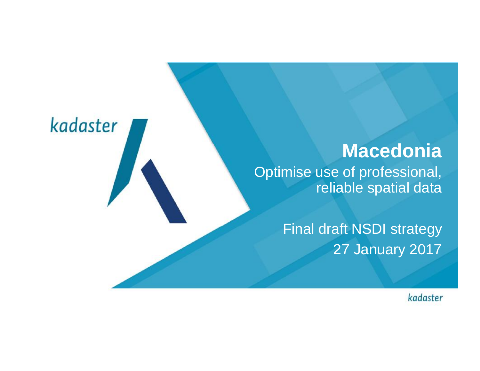#### **Macedonia**

Optimise use of professional, reliable spatial data

kadaster

Final draft NSDI strategy 27 January 2017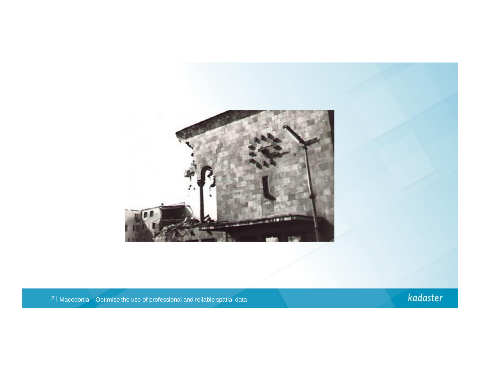

2 | Macedonia – Optimise the use of professional and reliable spatial data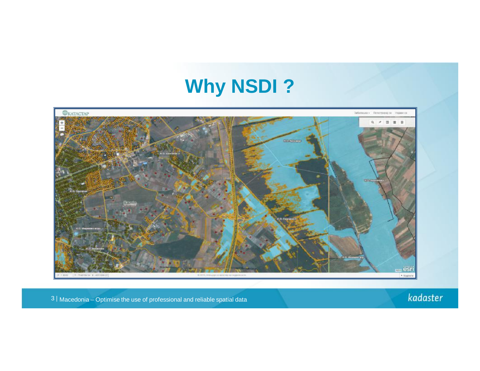## **Why NSDI ?**



3 | Macedonia – Optimise the use of professional and reliable spatial data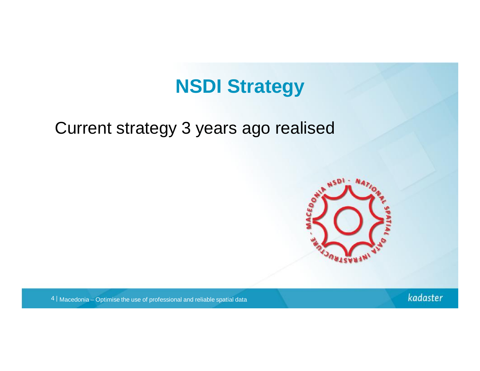## **NSDI Strategy**

#### Current strategy 3 years ago realised



4 | Macedonia – Optimise the use of professional and reliable spatial data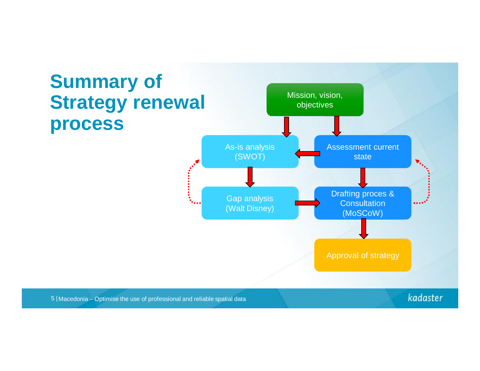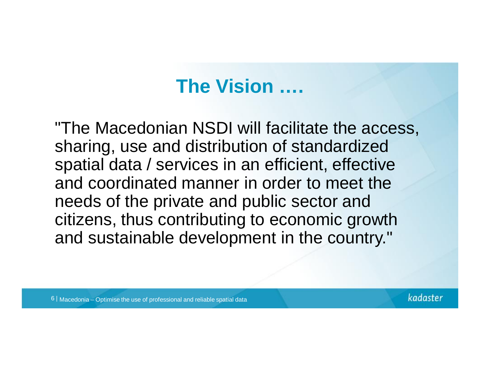## **The Vision ….**

"The Macedonian NSDI will facilitate the access, sharing, use and distribution of standardized spatial data / services in an efficient, effective and coordinated manner in order to meet the needs of the private and public sector and citizens, thus contributing to economic growth and sustainable development in the country."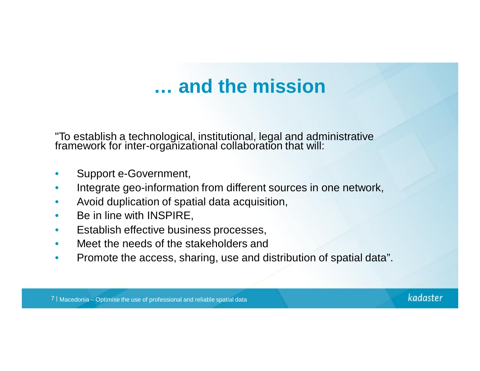#### **… and the mission**

"To establish a technological, institutional, legal and administrative framework for inter-organizational collaboration that will:

- Support e-Government,
- Integrate geo-information from different sources in one network,
- Avoid duplication of spatial data acquisition,
- Be in line with INSPIRE,
- Establish effective business processes,
- Meet the needs of the stakeholders and
- Promote the access, sharing, use and distribution of spatial data".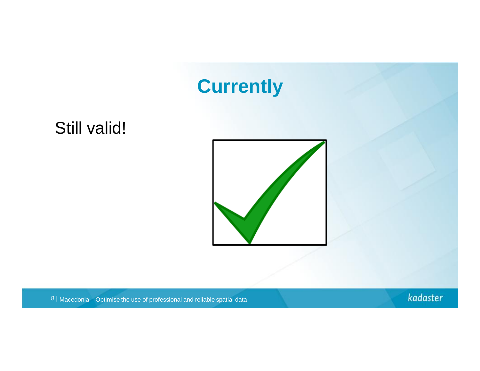

8 | Macedonia – Optimise the use of professional and reliable spatial data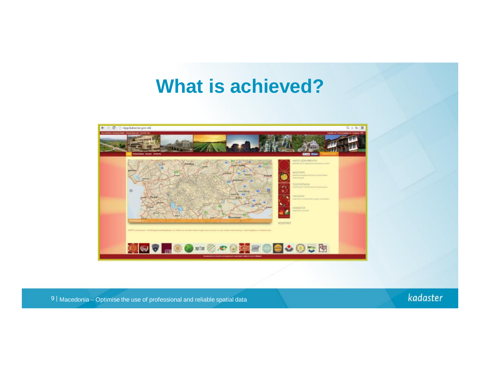#### **What is achieved?**



9 | Macedonia – Optimise the use of professional and reliable spatial data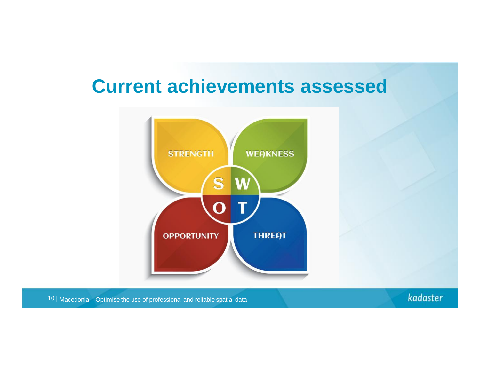#### **Current achievements assessed**



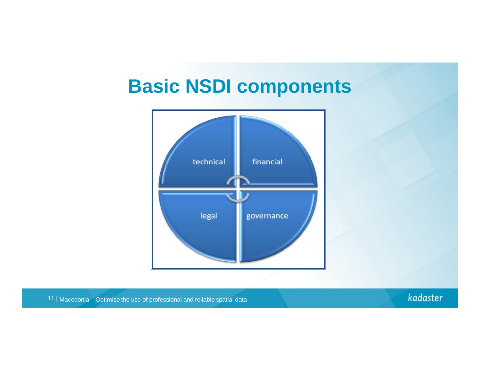## **Basic NSDI components**



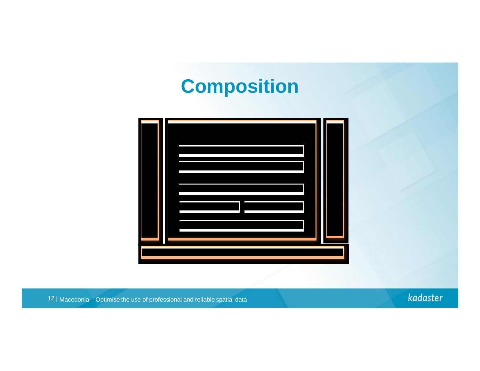## **Composition**

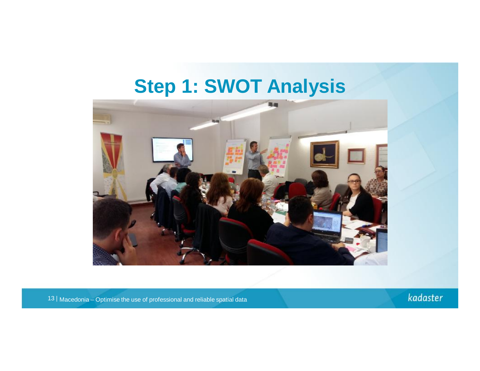## **Step 1: SWOT Analysis**



13 | Macedonia – Optimise the use of professional and reliable spatial data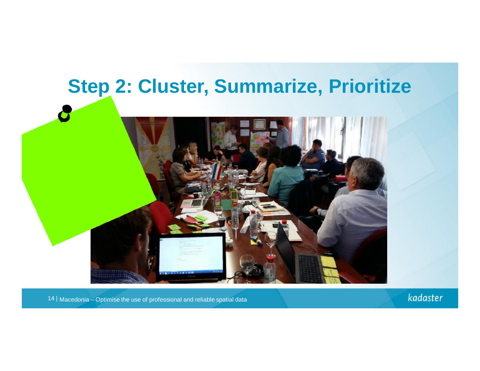

14 | Macedonia – Optimise the use of professional and reliable spatial data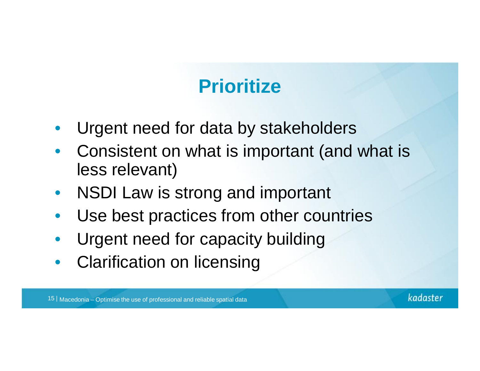## **Prioritize**

- Urgent need for data by stakeholders
- Consistent on what is important (and what is less relevant)
- NSDI Law is strong and important
- Use best practices from other countries
- Urgent need for capacity building
- Clarification on licensing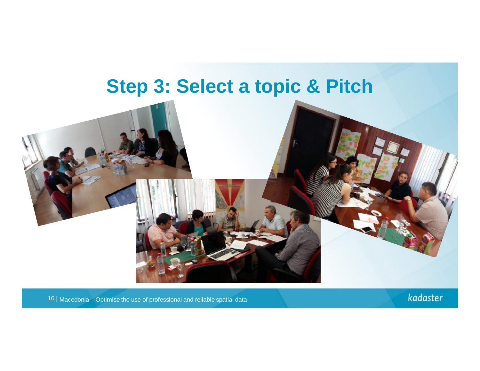## **Step 3: Select a topic & Pitch**



16 | Macedonia – Optimise the use of professional and reliable spatial data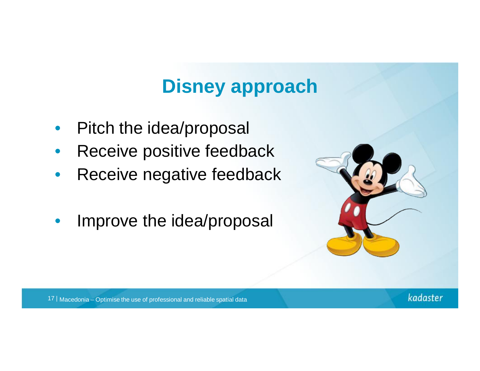## **Disney approach**

- Pitch the idea/proposal
- Receive positive feedback
- Receive negative feedback
- Improve the idea/proposal



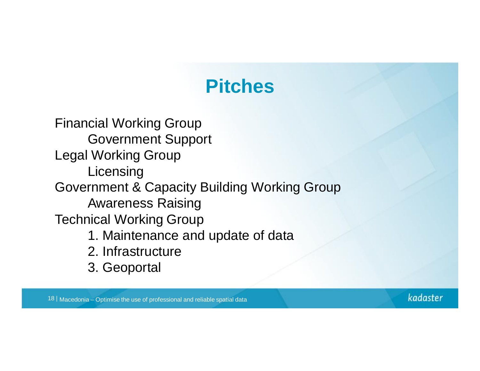### **Pitches**

Financial Working Group Government Support Legal Working Group Licensing Government & Capacity Building Working Group Awareness Raising Technical Working Group 1. Maintenance and update of data 2. Infrastructure 3. Geoportal

18 | Macedonia – Optimise the use of professional and reliable spatial data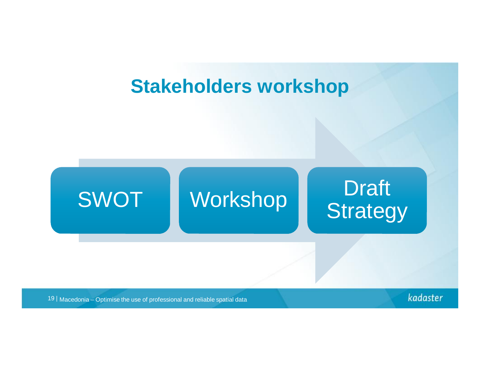#### **Stakeholders workshop**



19 | Macedonia – Optimise the use of professional and reliable spatial data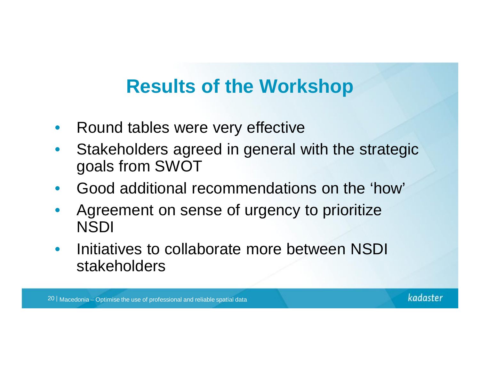## **Results of the Workshop**

- Round tables were very effective
- Stakeholders agreed in general with the strategic goals from SWOT
- Good additional recommendations on the 'how'
- Agreement on sense of urgency to prioritize NSDI
- Initiatives to collaborate more between NSDI stakeholders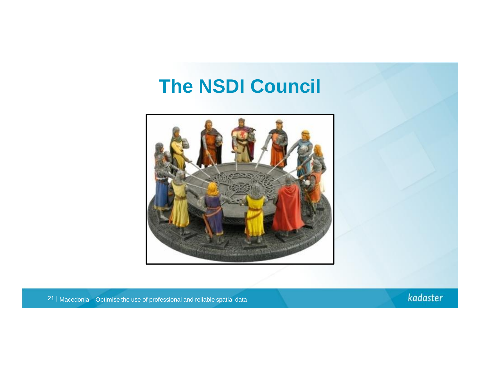## **The NSDI Council**



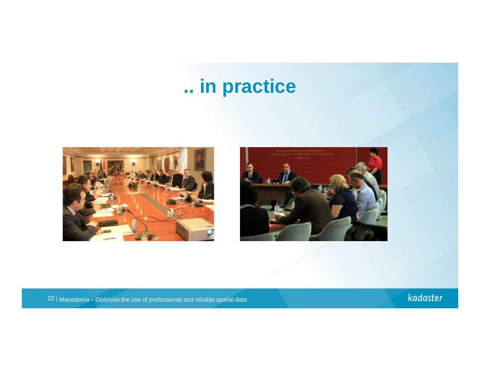## **.. in practice**





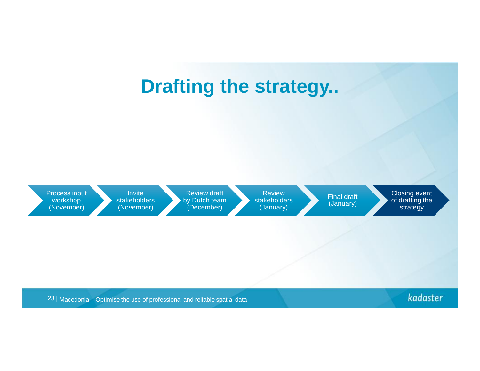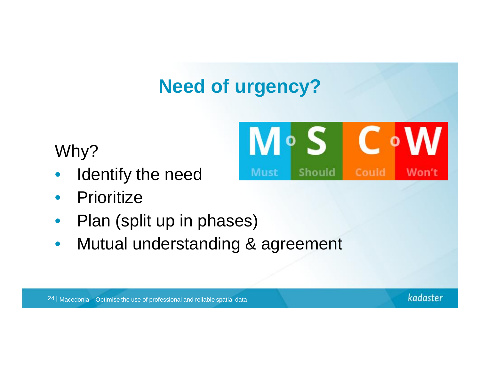## **Need of urgency?**

Why?

- Identify the need
- **Prioritize**
- Plan (split up in phases)
- Mutual understanding & agreement



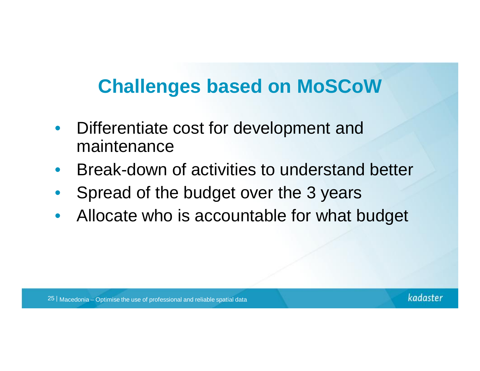## **Challenges based on MoSCoW**

- Differentiate cost for development and maintenance
- Break-down of activities to understand better
- Spread of the budget over the 3 years
- Allocate who is accountable for what budget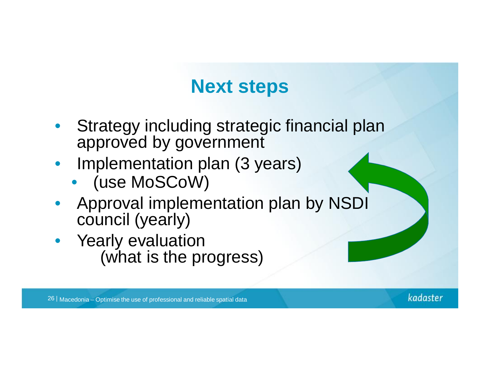## **Next steps**

- Strategy including strategic financial plan approved by government
- Implementation plan (3 years)
	- (use MoSCoW)
- Approval implementation plan by NSDI council (yearly)
- Yearly evaluation (what is the progress)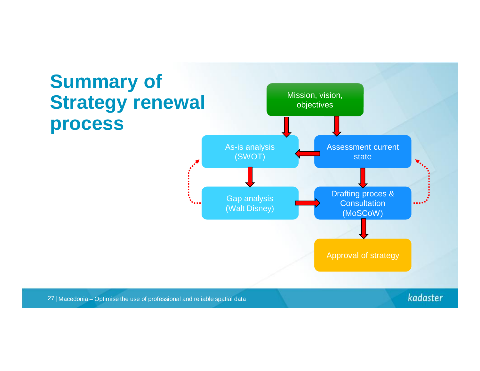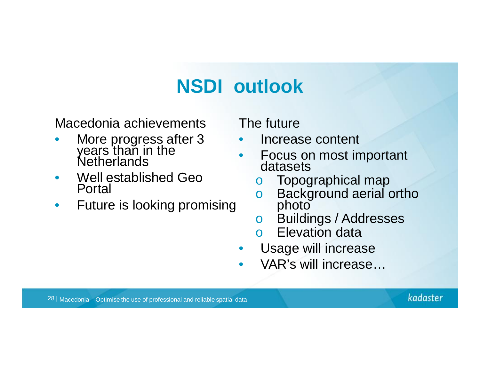## **NSDI outlook**

Macedonia achievements

- More progress after 3 years than in the **Netherlands**
- Well established Geo Portal
- Future is looking promising

The future

- Increase content
- Focus on most important datasets
	- o Topographical map
	- o Background aerial ortho photo
	- o Buildings / Addresses
	- **Elevation data**
- Usage will increase
- VAR's will increase…